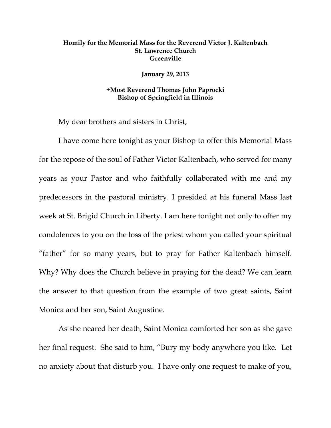## **Homily for the Memorial Mass for the Reverend Victor J. Kaltenbach St. Lawrence Church Greenville**

**January 29, 2013** 

## **+Most Reverend Thomas John Paprocki Bishop of Springfield in Illinois**

My dear brothers and sisters in Christ,

I have come here tonight as your Bishop to offer this Memorial Mass for the repose of the soul of Father Victor Kaltenbach, who served for many years as your Pastor and who faithfully collaborated with me and my predecessors in the pastoral ministry. I presided at his funeral Mass last week at St. Brigid Church in Liberty. I am here tonight not only to offer my condolences to you on the loss of the priest whom you called your spiritual "father" for so many years, but to pray for Father Kaltenbach himself. Why? Why does the Church believe in praying for the dead? We can learn the answer to that question from the example of two great saints, Saint Monica and her son, Saint Augustine.

As she neared her death, Saint Monica comforted her son as she gave her final request. She said to him, "Bury my body anywhere you like. Let no anxiety about that disturb you. I have only one request to make of you,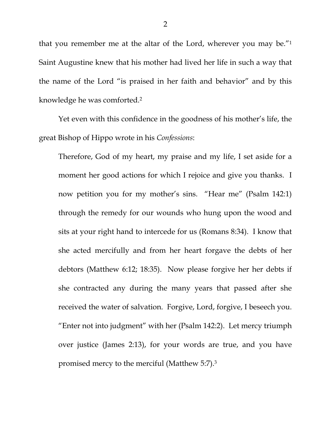that you remember me at the altar of the Lord, wherever you may be."1 Saint Augustine knew that his mother had lived her life in such a way that the name of the Lord "is praised in her faith and behavior" and by this knowledge he was comforted.2

Yet even with this confidence in the goodness of his mother's life, the great Bishop of Hippo wrote in his *Confessions*:

Therefore, God of my heart, my praise and my life, I set aside for a moment her good actions for which I rejoice and give you thanks. I now petition you for my mother's sins. "Hear me" (Psalm 142:1) through the remedy for our wounds who hung upon the wood and sits at your right hand to intercede for us (Romans 8:34). I know that she acted mercifully and from her heart forgave the debts of her debtors (Matthew 6:12; 18:35). Now please forgive her her debts if she contracted any during the many years that passed after she received the water of salvation. Forgive, Lord, forgive, I beseech you. "Enter not into judgment" with her (Psalm 142:2). Let mercy triumph over justice (James 2:13), for your words are true, and you have promised mercy to the merciful (Matthew 5:7).3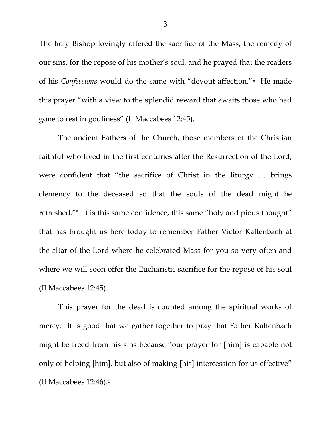The holy Bishop lovingly offered the sacrifice of the Mass, the remedy of our sins, for the repose of his mother's soul, and he prayed that the readers of his *Confessions* would do the same with "devout affection."4 He made this prayer "with a view to the splendid reward that awaits those who had gone to rest in godliness" (II Maccabees 12:45).

 The ancient Fathers of the Church, those members of the Christian faithful who lived in the first centuries after the Resurrection of the Lord, were confident that "the sacrifice of Christ in the liturgy … brings clemency to the deceased so that the souls of the dead might be refreshed."5 It is this same confidence, this same "holy and pious thought" that has brought us here today to remember Father Victor Kaltenbach at the altar of the Lord where he celebrated Mass for you so very often and where we will soon offer the Eucharistic sacrifice for the repose of his soul (II Maccabees 12:45).

 This prayer for the dead is counted among the spiritual works of mercy. It is good that we gather together to pray that Father Kaltenbach might be freed from his sins because "our prayer for [him] is capable not only of helping [him], but also of making [his] intercession for us effective" (II Maccabees 12:46).6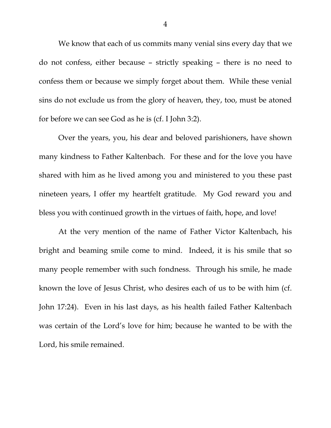We know that each of us commits many venial sins every day that we do not confess, either because – strictly speaking – there is no need to confess them or because we simply forget about them. While these venial sins do not exclude us from the glory of heaven, they, too, must be atoned for before we can see God as he is (cf. I John 3:2).

 Over the years, you, his dear and beloved parishioners, have shown many kindness to Father Kaltenbach. For these and for the love you have shared with him as he lived among you and ministered to you these past nineteen years, I offer my heartfelt gratitude. My God reward you and bless you with continued growth in the virtues of faith, hope, and love!

 At the very mention of the name of Father Victor Kaltenbach, his bright and beaming smile come to mind. Indeed, it is his smile that so many people remember with such fondness. Through his smile, he made known the love of Jesus Christ, who desires each of us to be with him (cf. John 17:24). Even in his last days, as his health failed Father Kaltenbach was certain of the Lord's love for him; because he wanted to be with the Lord, his smile remained.